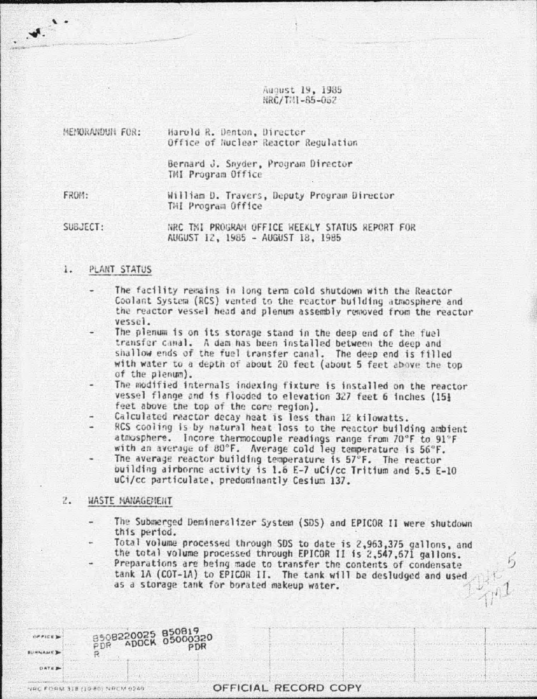August 19, 1985 NRC/TNI-85-062

| HENORANDUN FOR: | Harold R. Denton, Director<br>Office of Nuclear Reactor Regulation |  |  |  |
|-----------------|--------------------------------------------------------------------|--|--|--|
|                 | Bernard J. Snyder, Program Director<br>TMI Program Office          |  |  |  |
| FROM:           | William D. Travers, Deputy Program Director<br>THI Program Office  |  |  |  |

SUBJECT:

 $W$ .

NRC TNI PROGRAM OFFICE WEEKLY STATUS REPORT FOR AUGUST 12, 1985 - AUGUST 18, 1985

## $\mathbf{1}$ . PLANT STATUS

- The facility remains in long term cold shutdown with the Reactor Coolant System (RCS) vented to the reactor building atmosphere and the reactor vessel head and plenum assembly removed from the reactor vessel.
- The plenum is on its storage stand in the deep end of the fuel transfer canal. A dam has been installed between the deep and shallow ends of the fuel transfer canal. The deep end is filled with water to a depth of about 20 feet (about 5 feet above the top of the plenum).
- The modified internals indexing fixture is installed on the reactor vessel flange and is flooded to elevation 327 feet 6 inches (15} feet above the top of the core region).
- Calculated reactor decay heat is less than 12 kilowatts.
- RCS cooling is by natural heat loss to the reactor building ambient atmosphere. Incore thermocouple readings range from 70°F to 91°F with an average of 80°F. Average cold leg temperature is 56°F.
- The average reactor building temperature is 57°F. The reactor building airborne activity is 1.6 E-7 uCi/cc Tritium and 5.5 E-10 uCi/cc particulate, predominantly Cesium 137.

## 2. WASTE MANAGEMENT

- The Submerged Demineralizer System (SDS) and EPICOR II were shutdown this period.
- Total volume processed through SDS to date is 2,963,375 gallons, and the total volume processed through EPICOR II is 2,547,671 gallons. Preparations are being made to transfer the contents of condensate
	- tank 1A (COT-1A) to EPICOR II. The tank will be desludged and used as a storage tank for borated makeup water.

| <b><i>SPPICE</i></b> | B508220025 850819<br>B508220025 85000320 |                      |  |
|----------------------|------------------------------------------|----------------------|--|
| DATE #               |                                          |                      |  |
|                      | ANC LOUN 318 (10 BB) NUCH 0240           | OFFICIAL RECORD COPY |  |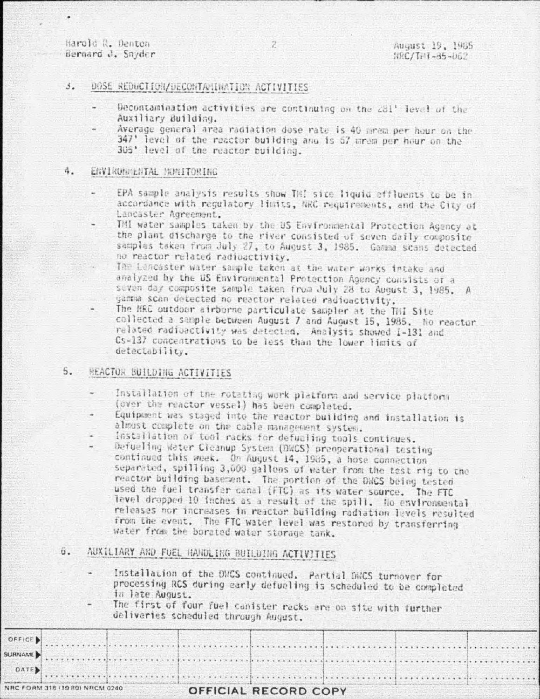Harold R. Denton Bernard J. Snyder

# $\mathcal{A}_{\mathcal{A}}$ DOSE REDUCTION/DECONTAMINATION ACTIVITIES

- Decontamination activities are continuing on the 281' level of the Auxiliary Building.
- Average general area radiation dose rate is 40 mrem per hour on the 347' level of the reactor building and is 67 mrem per hour on the 305' level of the reactor building.

# ENVIRONMENTAL MONITORING 4.

- EPA sample analysis results show TH! site liquid effluents to be in accordance with regulatory limits, NRC requirements, and the City of Lancaster Adreement.
- TMI water samples taken by the US Environmental Protection Agency at the plant discharge to the river consisted of seven daily composite samples taken from July 27, to August 3, 1985. Gamma scans detected no reactor related radioactivity.
	- The Lancaster water sample taken at the water works intake and analyzed by the US Environmental Protection Agency consists of a seven day composite sample taken from July 28 to August 3, 1985. A gamma scan detected no reactor related radioactivity.
- The NRC outdoor airborne particulate sampler at the TNI Site collected a sample between August 7 and August 15, 1985. No reactor related radioactivity was detected. Analysis showed I-131 and Cs-137 concentrations to be less than the lower limits of detectability.

# 5. REACTOR BUILDING ACTIVITIES

- Installation of the rotating work platform and service platform (over the reactor vessel) has been completed.
- Equipment was staged into the reactor building and installation is almost complete on the cable management system.
- installation of tool racks for defuciing tools continues.
- Defueling Water Cleanup System (DWCS) preoperational testing continued this week. On August 14, 1985, a hose connection separated, spilling 3,000 gallons of water from the test rig to the reactor building basement. The portion of the DWCS being tested used the fuel transfer canal (FTC) as its water source. The FTC level dropped 10 inches as a result of the spill. No environmental releases nor increases in reactor building radiation levels resulted from the event. The FTC water level was restored by transferring water from the borated water storage tank.

# 6. AUXILIARY AND FUEL HANDLING BUILDING ACTIVITIES

- Installation of the DNCS continued, Partial DNCS turnover for processing RCS during early defueling is scheduled to be completed in late August.
- The first of four fuel canister racks are on site with further deliveries scheduled through August.

| OFFICE  |                                 |  |                      |  |  |
|---------|---------------------------------|--|----------------------|--|--|
| SURNAME |                                 |  |                      |  |  |
| DATE    |                                 |  |                      |  |  |
|         | NRC FORM 318 (10 80) NRCM 0240. |  | OFFICIAL RECORD COPY |  |  |

 $\overline{2}$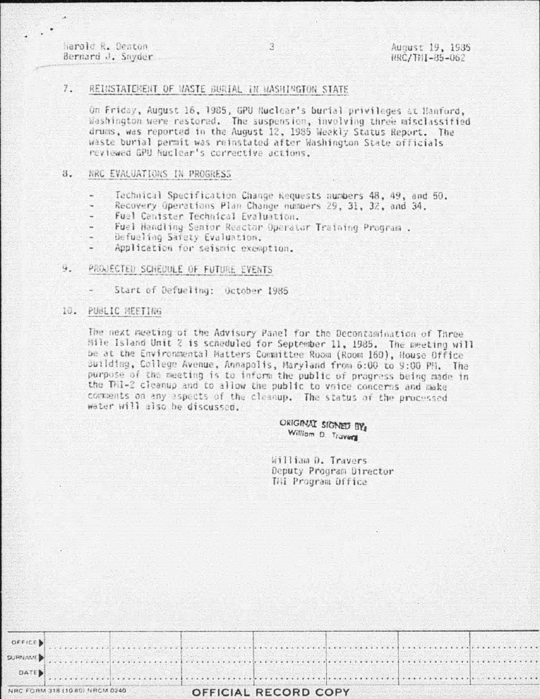Harold R. Denton Bernard J. Snyder

## $7.$ REINSTATEMENT OF WASTE BURTAL IN WASHINGTON STATE

On Friday, August 16, 1985, GPU Ruclear's burial privileges at Hanford. Washington were restored. The suspension, involving three misclassified drums, was reported in the August 12, 1985 Weekly Status Report. The waste burial permit was reinstated after Washington State officials reviewed GPU Nuclear's corrective actions.

 $\mathbf{2}$ 

## 8. NRC EVALUATIONS IN PROGRESS

- Technical Specification Change Requests numbers 48, 49, and 50,
- Recovery Operations Plan Change numbers 29, 31, 32, and 34,
- Fuel Canister Technical Evaluation.
- Fuel Handling Senior Reactor Operator Training Program .
- Defueling Safety Evaluation.
- Application for seismic exemption. Ξ

## $\overline{Q}$ . PROJECTED SCHEDULE OF FUTURE EVENTS

Start of Defueling: October 1985

#### 10. PUBLIC HEETING

The next meeting of the Advisory Panel for the Decontamination of Three Mile Island Unit 2 is scheduled for September 11, 1985. The meeting will be at the Environmental Matters Committee Room (Room 160), House Office Building, College Avenue, Annapolis, Maryland from 6:00 to 9:00 PM. The purpose of the meeting is to inform the public of progress being made in the THI-2 cleanup and to allow the public to voice concerns and make comments on any aspects of the cleanup. The status of the processed water will also be discussed.

> ORIGINAL SIGNED BY William D. Travers

William D. Travers Deputy Program Director **TAI Program Office**